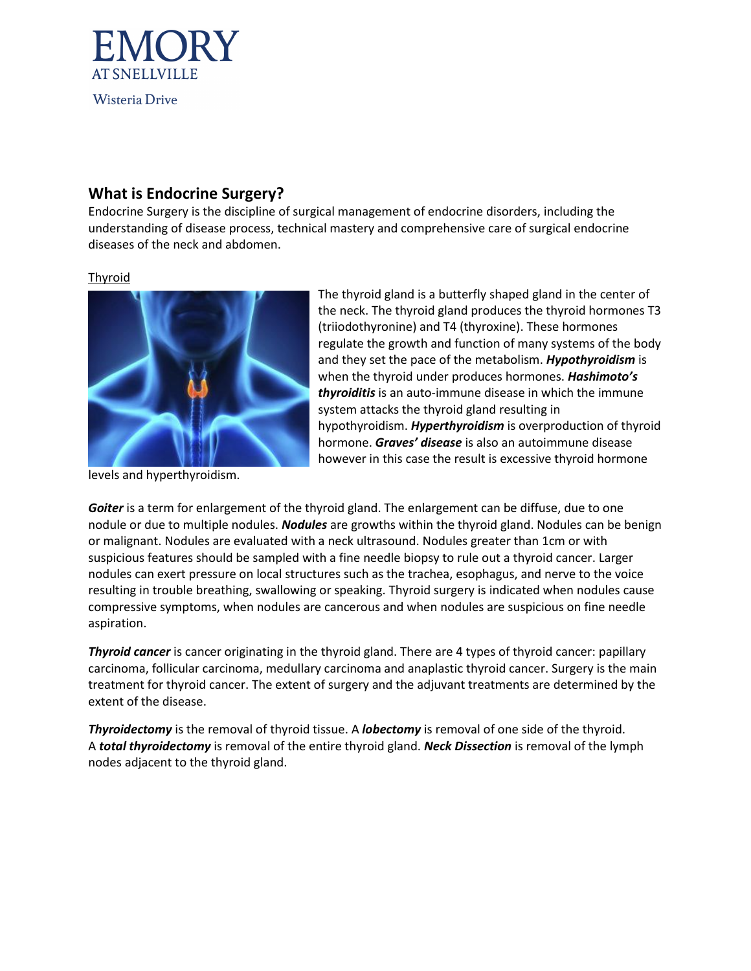

## **What is Endocrine Surgery?**

Endocrine Surgery is the discipline of surgical management of endocrine disorders, including the understanding of disease process, technical mastery and comprehensive care of surgical endocrine diseases of the neck and abdomen.

## Thyroid



levels and hyperthyroidism.

The thyroid gland is a butterfly shaped gland in the center of the neck. The thyroid gland produces the thyroid hormones T3 (triiodothyronine) and T4 (thyroxine). These hormones regulate the growth and function of many systems of the body and they set the pace of the metabolism. *Hypothyroidism* is when the thyroid under produces hormones. *Hashimoto's thyroiditis* is an auto-immune disease in which the immune system attacks the thyroid gland resulting in hypothyroidism. *Hyperthyroidism* is overproduction of thyroid hormone. *Graves' disease* is also an autoimmune disease however in this case the result is excessive thyroid hormone

*Goiter* is a term for enlargement of the thyroid gland. The enlargement can be diffuse, due to one nodule or due to multiple nodules. *Nodules* are growths within the thyroid gland. Nodules can be benign or malignant. Nodules are evaluated with a neck ultrasound. Nodules greater than 1cm or with suspicious features should be sampled with a fine needle biopsy to rule out a thyroid cancer. Larger nodules can exert pressure on local structures such as the trachea, esophagus, and nerve to the voice resulting in trouble breathing, swallowing or speaking. Thyroid surgery is indicated when nodules cause compressive symptoms, when nodules are cancerous and when nodules are suspicious on fine needle aspiration.

*Thyroid cancer* is cancer originating in the thyroid gland. There are 4 types of thyroid cancer: papillary carcinoma, follicular carcinoma, medullary carcinoma and anaplastic thyroid cancer. Surgery is the main treatment for thyroid cancer. The extent of surgery and the adjuvant treatments are determined by the extent of the disease.

*Thyroidectomy* is the removal of thyroid tissue. A *lobectomy* is removal of one side of the thyroid. A *total thyroidectomy* is removal of the entire thyroid gland. *Neck Dissection* is removal of the lymph nodes adjacent to the thyroid gland.